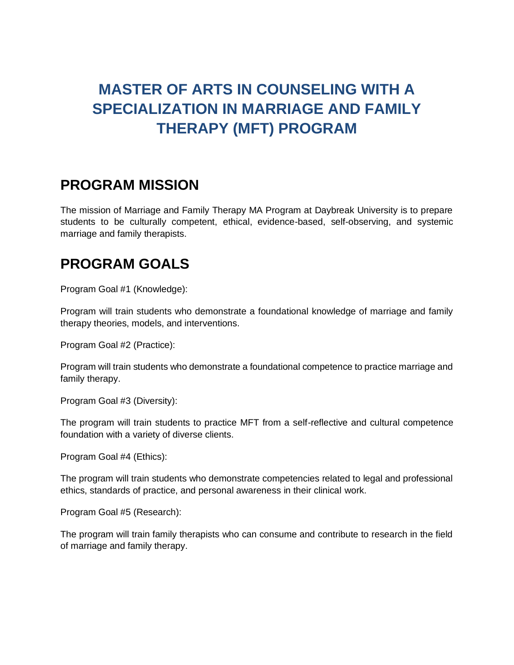# **MASTER OF ARTS IN COUNSELING WITH A SPECIALIZATION IN MARRIAGE AND FAMILY THERAPY (MFT) PROGRAM**

#### **PROGRAM MISSION**

The mission of Marriage and Family Therapy MA Program at Daybreak University is to prepare students to be culturally competent, ethical, evidence-based, self-observing, and systemic marriage and family therapists.

### **PROGRAM GOALS**

Program Goal #1 (Knowledge):

Program will train students who demonstrate a foundational knowledge of marriage and family therapy theories, models, and interventions.

Program Goal #2 (Practice):

Program will train students who demonstrate a foundational competence to practice marriage and family therapy.

Program Goal #3 (Diversity):

The program will train students to practice MFT from a self-reflective and cultural competence foundation with a variety of diverse clients.

Program Goal #4 (Ethics):

The program will train students who demonstrate competencies related to legal and professional ethics, standards of practice, and personal awareness in their clinical work.

Program Goal #5 (Research):

The program will train family therapists who can consume and contribute to research in the field of marriage and family therapy.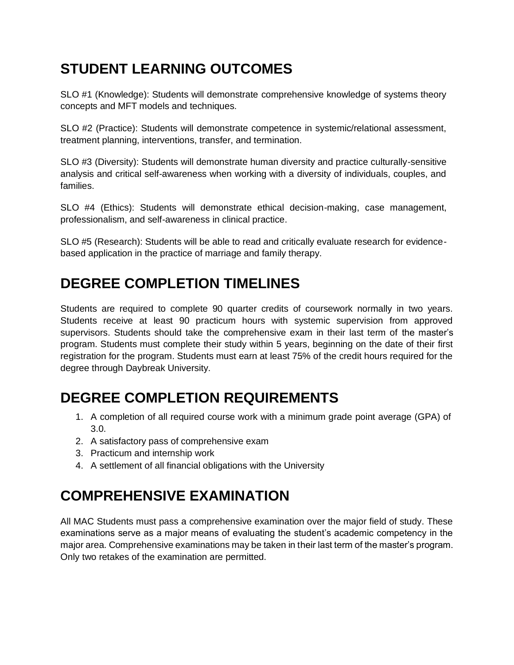# **STUDENT LEARNING OUTCOMES**

SLO #1 (Knowledge): Students will demonstrate comprehensive knowledge of systems theory concepts and MFT models and techniques.

SLO #2 (Practice): Students will demonstrate competence in systemic/relational assessment, treatment planning, interventions, transfer, and termination.

SLO #3 (Diversity): Students will demonstrate human diversity and practice culturally-sensitive analysis and critical self-awareness when working with a diversity of individuals, couples, and families.

SLO #4 (Ethics): Students will demonstrate ethical decision-making, case management, professionalism, and self-awareness in clinical practice.

SLO #5 (Research): Students will be able to read and critically evaluate research for evidencebased application in the practice of marriage and family therapy.

## **DEGREE COMPLETION TIMELINES**

Students are required to complete 90 quarter credits of coursework normally in two years. Students receive at least 90 practicum hours with systemic supervision from approved supervisors. Students should take the comprehensive exam in their last term of the master's program. Students must complete their study within 5 years, beginning on the date of their first registration for the program. Students must earn at least 75% of the credit hours required for the degree through Daybreak University.

# **DEGREE COMPLETION REQUIREMENTS**

- 1. A completion of all required course work with a minimum grade point average (GPA) of 3.0.
- 2. A satisfactory pass of comprehensive exam
- 3. Practicum and internship work
- 4. A settlement of all financial obligations with the University

# **COMPREHENSIVE EXAMINATION**

All MAC Students must pass a comprehensive examination over the major field of study. These examinations serve as a major means of evaluating the student's academic competency in the major area. Comprehensive examinations may be taken in their last term of the master's program. Only two retakes of the examination are permitted.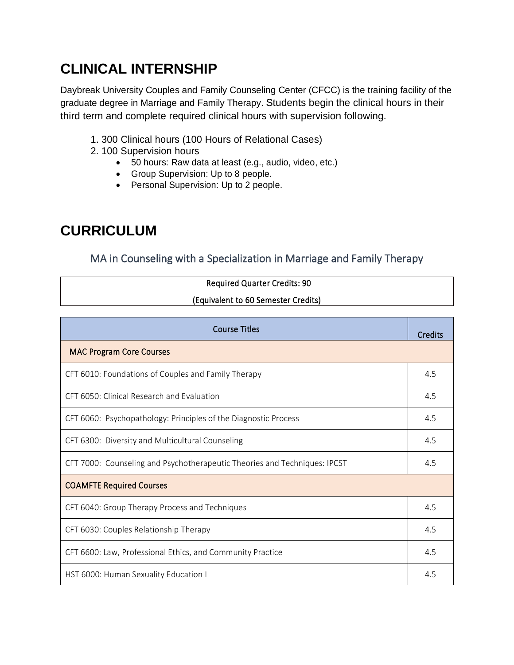## **CLINICAL INTERNSHIP**

Daybreak University Couples and Family Counseling Center (CFCC) is the training facility of the graduate degree in Marriage and Family Therapy. Students begin the clinical hours in their third term and complete required clinical hours with supervision following.

- 1. 300 Clinical hours (100 Hours of Relational Cases)
- 2. 100 Supervision hours
	- 50 hours: Raw data at least (e.g., audio, video, etc.)
	- Group Supervision: Up to 8 people.
	- Personal Supervision: Up to 2 people.

### **CURRICULUM**

#### MA in Counseling with a Specialization in Marriage and Family Therapy

| <b>Required Quarter Credits: 90</b> |  |
|-------------------------------------|--|
| (Equivalent to 60 Semester Credits) |  |

| <b>Course Titles</b>                                                      |     |  |  |
|---------------------------------------------------------------------------|-----|--|--|
| <b>MAC Program Core Courses</b>                                           |     |  |  |
| CFT 6010: Foundations of Couples and Family Therapy                       | 4.5 |  |  |
| CFT 6050: Clinical Research and Evaluation                                | 4.5 |  |  |
| CFT 6060: Psychopathology: Principles of the Diagnostic Process           | 4.5 |  |  |
| CFT 6300: Diversity and Multicultural Counseling                          | 4.5 |  |  |
| CFT 7000: Counseling and Psychotherapeutic Theories and Techniques: IPCST |     |  |  |
| <b>COAMFTE Required Courses</b>                                           |     |  |  |
| CFT 6040: Group Therapy Process and Techniques                            | 4.5 |  |  |
| CFT 6030: Couples Relationship Therapy                                    | 4.5 |  |  |
| CFT 6600: Law, Professional Ethics, and Community Practice                | 4.5 |  |  |
| HST 6000: Human Sexuality Education I                                     | 4.5 |  |  |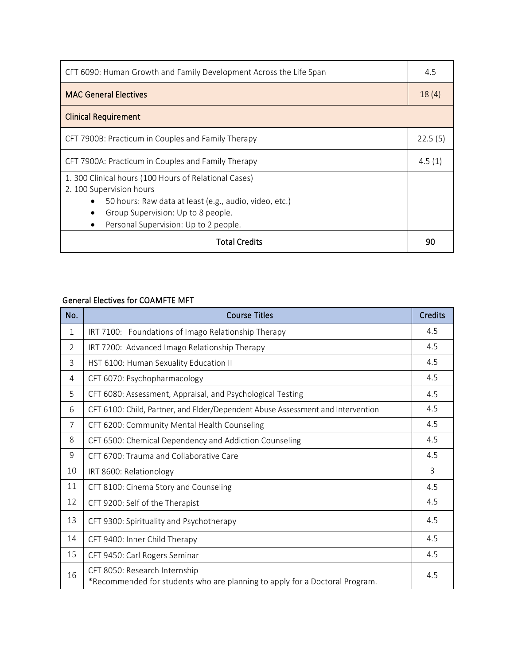| CFT 6090: Human Growth and Family Development Across the Life Span                                                                                                                                                         |         |  |  |
|----------------------------------------------------------------------------------------------------------------------------------------------------------------------------------------------------------------------------|---------|--|--|
| <b>MAC General Electives</b>                                                                                                                                                                                               | 18(4)   |  |  |
| <b>Clinical Requirement</b>                                                                                                                                                                                                |         |  |  |
| CFT 7900B: Practicum in Couples and Family Therapy                                                                                                                                                                         | 22.5(5) |  |  |
| CFT 7900A: Practicum in Couples and Family Therapy                                                                                                                                                                         |         |  |  |
| 1. 300 Clinical hours (100 Hours of Relational Cases)<br>2. 100 Supervision hours<br>50 hours: Raw data at least (e.g., audio, video, etc.)<br>Group Supervision: Up to 8 people.<br>Personal Supervision: Up to 2 people. |         |  |  |
| <b>Total Credits</b>                                                                                                                                                                                                       |         |  |  |

#### General Electives for COAMFTE MFT

| No.            | <b>Course Titles</b>                                                                                         | <b>Credits</b> |
|----------------|--------------------------------------------------------------------------------------------------------------|----------------|
| $\mathbf{1}$   | IRT 7100: Foundations of Imago Relationship Therapy                                                          | 4.5            |
| $\overline{2}$ | IRT 7200: Advanced Imago Relationship Therapy                                                                | 4.5            |
| 3              | HST 6100: Human Sexuality Education II                                                                       | 4.5            |
| 4              | CFT 6070: Psychopharmacology                                                                                 | 4.5            |
| 5              | CFT 6080: Assessment, Appraisal, and Psychological Testing                                                   | 4.5            |
| 6              | CFT 6100: Child, Partner, and Elder/Dependent Abuse Assessment and Intervention                              | 4.5            |
| $\overline{7}$ | CFT 6200: Community Mental Health Counseling                                                                 | 4.5            |
| 8              | CFT 6500: Chemical Dependency and Addiction Counseling                                                       | 4.5            |
| 9              | CFT 6700: Trauma and Collaborative Care                                                                      | 4.5            |
| 10             | IRT 8600: Relationology                                                                                      | 3              |
| 11             | CFT 8100: Cinema Story and Counseling                                                                        | 4.5            |
| 12             | CFT 9200: Self of the Therapist                                                                              | 4.5            |
| 13             | CFT 9300: Spirituality and Psychotherapy                                                                     | 4.5            |
| 14             | CFT 9400: Inner Child Therapy                                                                                | 4.5            |
| 15             | CFT 9450: Carl Rogers Seminar                                                                                | 4.5            |
| 16             | CFT 8050: Research Internship<br>*Recommended for students who are planning to apply for a Doctoral Program. | 4.5            |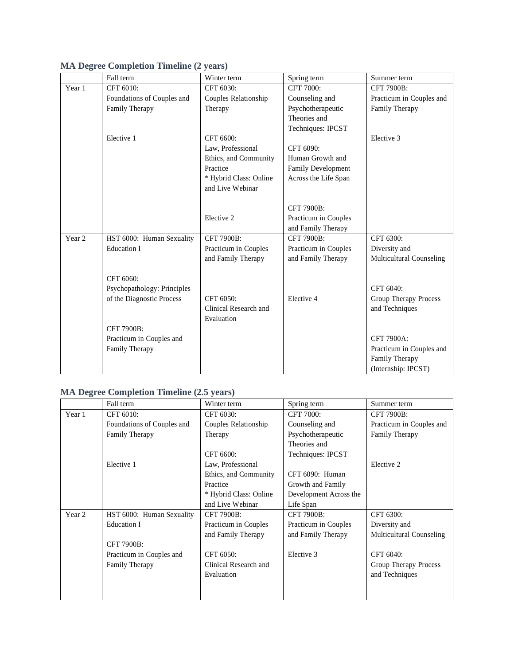|                   | Fall term                   | Winter term            | Spring term          | Summer term                  |
|-------------------|-----------------------------|------------------------|----------------------|------------------------------|
| Year 1            | CFT 6010:                   | CFT 6030:              | CFT 7000:            | <b>CFT 7900B:</b>            |
|                   | Foundations of Couples and  | Couples Relationship   | Counseling and       | Practicum in Couples and     |
|                   | Family Therapy              | Therapy                | Psychotherapeutic    | Family Therapy               |
|                   |                             |                        | Theories and         |                              |
|                   |                             |                        | Techniques: IPCST    |                              |
|                   | Elective 1                  | CFT 6600:              |                      | Elective 3                   |
|                   |                             | Law. Professional      | CFT 6090:            |                              |
|                   |                             | Ethics, and Community  | Human Growth and     |                              |
|                   |                             | Practice               | Family Development   |                              |
|                   |                             | * Hybrid Class: Online | Across the Life Span |                              |
|                   |                             | and Live Webinar       |                      |                              |
|                   |                             |                        |                      |                              |
|                   |                             |                        | <b>CFT 7900B:</b>    |                              |
|                   |                             | Elective 2             | Practicum in Couples |                              |
|                   |                             |                        | and Family Therapy   |                              |
| Year <sub>2</sub> | HST 6000: Human Sexuality   | CFT 7900B:             | <b>CFT 7900B:</b>    | CFT 6300:                    |
|                   | <b>Education I</b>          | Practicum in Couples   | Practicum in Couples | Diversity and                |
|                   |                             | and Family Therapy     | and Family Therapy   | Multicultural Counseling     |
|                   | CFT 6060:                   |                        |                      |                              |
|                   | Psychopathology: Principles |                        |                      | CFT 6040:                    |
|                   | of the Diagnostic Process   | CFT 6050:              | Elective 4           | <b>Group Therapy Process</b> |
|                   |                             | Clinical Research and  |                      | and Techniques               |
|                   |                             | Evaluation             |                      |                              |
|                   | <b>CFT 7900B:</b>           |                        |                      |                              |
|                   | Practicum in Couples and    |                        |                      | CFT 7900A:                   |
|                   | Family Therapy              |                        |                      | Practicum in Couples and     |
|                   |                             |                        |                      | Family Therapy               |
|                   |                             |                        |                      | (Internship: IPCST)          |

#### **MA Degree Completion Timeline (2 years)**

#### **MA Degree Completion Timeline (2.5 years)**

|        | Fall term                  | Winter term            | Spring term            | Summer term              |
|--------|----------------------------|------------------------|------------------------|--------------------------|
| Year 1 | CFT 6010:                  | CFT 6030:              | <b>CFT 7000:</b>       | <b>CFT 7900B:</b>        |
|        | Foundations of Couples and | Couples Relationship   | Counseling and         | Practicum in Couples and |
|        | Family Therapy             | Therapy                | Psychotherapeutic      | Family Therapy           |
|        |                            |                        | Theories and           |                          |
|        |                            | CFT 6600:              | Techniques: IPCST      |                          |
|        | Elective 1                 | Law, Professional      |                        | Elective 2               |
|        |                            | Ethics, and Community  | CFT 6090: Human        |                          |
|        |                            | Practice               | Growth and Family      |                          |
|        |                            | * Hybrid Class: Online | Development Across the |                          |
|        |                            | and Live Webinar       | Life Span              |                          |
| Year 2 | HST 6000: Human Sexuality  | <b>CFT 7900B:</b>      | <b>CFT 7900B:</b>      | CFT 6300:                |
|        | Education I                | Practicum in Couples   | Practicum in Couples   | Diversity and            |
|        |                            | and Family Therapy     | and Family Therapy     | Multicultural Counseling |
|        | <b>CFT 7900B:</b>          |                        |                        |                          |
|        | Practicum in Couples and   | CFT 6050:              | Elective 3             | CFT 6040:                |
|        | Family Therapy             | Clinical Research and  |                        | Group Therapy Process    |
|        |                            | Evaluation             |                        | and Techniques           |
|        |                            |                        |                        |                          |
|        |                            |                        |                        |                          |